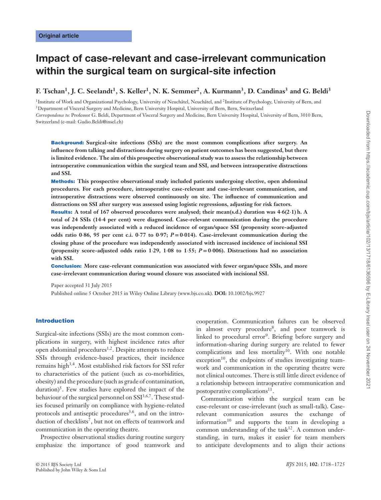# **Impact of case-relevant and case-irrelevant communication within the surgical team on surgical-site infection**

# **F. Tschan1, J. C. Seelandt1, S. Keller1, N. K. Semmer2, A. Kurmann3, D. Candinas3 and G. Beldi3**

<sup>1</sup>Institute of Work and Organizational Psychology, University of Neuchâtel, Neuchâtel, and <sup>2</sup>Institute of Psychology, University of Bern, and 3Department of Visceral Surgery and Medicine, Bern University Hospital, University of Bern, Bern, Switzerland *Correspondence to:* Professor G. Beldi, Department of Visceral Surgery and Medicine, Bern University Hospital, University of Bern, 3010 Bern, Switzerland (e-mail: Gudio.Beldi@insel.ch)

**Background: Surgical-site infections (SSIs) are the most common complications after surgery. An influence from talking and distractions during surgery on patient outcomes has been suggested, but there is limited evidence. The aim of this prospective observational study was to assess the relationship between intraoperative communication within the surgical team and SSI, and between intraoperative distractions and SSI.**

**Methods: This prospective observational study included patients undergoing elective, open abdominal procedures. For each procedure, intraoperative case-relevant and case-irrelevant communication, and intraoperative distractions were observed continuously on site. The influence of communication and distractions on SSI after surgery was assessed using logistic regressions, adjusting for risk factors.**

**Results: A total of 167 observed procedures were analysed; their mean(s.d.) duration was 4⋅6(2⋅1) h. A total of 24 SSIs (14⋅4 per cent) were diagnosed. Case-relevant communication during the procedure was independently associated with a reduced incidence of organ/space SSI (propensity score-adjusted odds ratio 0** $\cdot$ **86, 95 per cent c.i. 0** $\cdot$ **77 to 0** $\cdot$ **97;**  $P = 0.014$ ). Case-irrelevant communication during the **closing phase of the procedure was independently associated with increased incidence of incisional SSI** (propensity score-adjusted odds ratio 1 $\cdot$ **29, 1** $\cdot$ **08 to 1** $\cdot$ **55;**  $P = 0.006$ ). Distractions had no association **with SSI.**

**Conclusion: More case-relevant communication was associated with fewer organ/space SSIs, and more case-irrelevant communication during wound closure was associated with incisional SSI.**

Paper accepted 31 July 2015

Published online 5 October 2015 in Wiley Online Library (www.bjs.co.uk). **DOI:** 10.1002/bjs.9927

# **Introduction**

Surgical-site infections (SSIs) are the most common complications in surgery, with highest incidence rates after open abdominal procedures<sup>1,2</sup>. Despite attempts to reduce SSIs through evidence-based practices, their incidence remains high<sup>3</sup>*,*4. Most established risk factors for SSI refer to characteristics of the patient (such as co-morbidities, obesity) and the procedure (such as grade of contamination, duration)<sup>5</sup>. Few studies have explored the impact of the behaviour of the surgical personnel on SSI3*,*6*,*7. These studies focused primarily on compliance with hygiene-related protocols and antiseptic procedures<sup>3,6</sup>, and on the introduction of checklists<sup>7</sup>, but not on effects of teamwork and communication in the operating theatre.

Prospective observational studies during routine surgery emphasize the importance of good teamwork and cooperation. Communication failures can be observed in almost every procedure<sup>8</sup>, and poor teamwork is linked to procedural error<sup>9</sup>. Briefing before surgery and information-sharing during surgery are related to fewer complications and less mortality<sup>10</sup>. With one notable exception<sup>10</sup>, the endpoints of studies investigating teamwork and communication in the operating theatre were not clinical outcomes. There is still little direct evidence of a relationship between intraoperative communication and postoperative complications<sup>11</sup>.

Communication within the surgical team can be case-relevant or case-irrelevant (such as small-talk). Caserelevant communication assures the exchange of information $10$  and supports the team in developing a common understanding of the task $12$ . A common understanding, in turn, makes it easier for team members to anticipate developments and to align their actions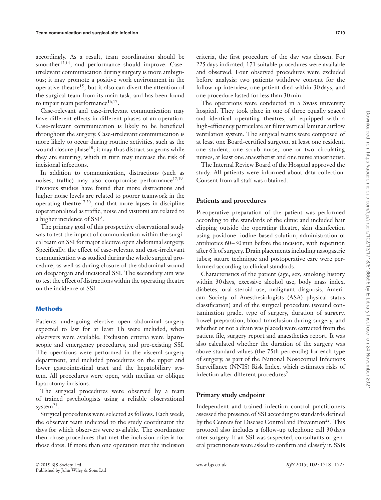accordingly. As a result, team coordination should be smoother<sup>13,14</sup>, and performance should improve. Caseirrelevant communication during surgery is more ambiguous; it may promote a positive work environment in the operative theatre15, but it also can divert the attention of the surgical team from its main task, and has been found to impair team performance<sup>16,17</sup>.

Case-relevant and case-irrelevant communication may have different effects in different phases of an operation. Case-relevant communication is likely to be beneficial throughout the surgery. Case-irrelevant communication is more likely to occur during routine activities, such as the wound closure phase<sup>18</sup>; it may thus distract surgeons while they are suturing, which in turn may increase the risk of incisional infections.

In addition to communication, distractions (such as noises, traffic) may also compromise performance<sup>17</sup>*,*19. Previous studies have found that more distractions and higher noise levels are related to poorer teamwork in the operating theatre<sup>17</sup>*,*20, and that more lapses in discipline (operationalized as traffic, noise and visitors) are related to a higher incidence of SSI<sup>3</sup>.

The primary goal of this prospective observational study was to test the impact of communication within the surgical team on SSI for major elective open abdominal surgery. Specifically, the effect of case-relevant and case-irrelevant communication was studied during the whole surgical procedure, as well as during closure of the abdominal wound on deep/organ and incisional SSI. The secondary aim was to test the effect of distractions within the operating theatre on the incidence of SSI.

#### **Methods**

Patients undergoing elective open abdominal surgery expected to last for at least 1 h were included, when observers were available. Exclusion criteria were laparoscopic and emergency procedures, and pre-existing SSI. The operations were performed in the visceral surgery department, and included procedures on the upper and lower gastrointestinal tract and the hepatobiliary system. All procedures were open, with median or oblique laparotomy incisions.

The surgical procedures were observed by a team of trained psychologists using a reliable observational system $^{21}$ .

Surgical procedures were selected as follows. Each week, the observer team indicated to the study coordinator the days for which observers were available. The coordinator then chose procedures that met the inclusion criteria for those dates. If more than one operation met the inclusion criteria, the first procedure of the day was chosen. For 225 days indicated, 171 suitable procedures were available and observed. Four observed procedures were excluded before analysis; two patients withdrew consent for the follow-up interview, one patient died within 30 days, and one procedure lasted for less than 30 min.

The operations were conducted in a Swiss university hospital. They took place in one of three equally spaced and identical operating theatres, all equipped with a high-efficiency particulate air filter vertical laminar airflow ventilation system. The surgical teams were composed of at least one Board-certified surgeon, at least one resident, one student, one scrub nurse, one or two circulating nurses, at least one anaesthetist and one nurse anaesthetist.

The Internal Review Board of the Hospital approved the study. All patients were informed about data collection. Consent from all staff was obtained.

#### **Patients and procedures**

Preoperative preparation of the patient was performed according to the standards of the clinic and included hair clipping outside the operating theatre, skin disinfection using povidone–iodine-based solution, administration of antibiotics 60–30 min before the incision, with repetition after 6 h of surgery. Drain placements including nasogastric tubes; suture technique and postoperative care were performed according to clinical standards.

Characteristics of the patient (age, sex, smoking history within 30 days, excessive alcohol use, body mass index, diabetes, oral steroid use, malignant diagnosis, American Society of Anesthesiologists (ASA) physical status classification) and of the surgical procedure (wound contamination grade, type of surgery, duration of surgery, bowel preparation, blood transfusion during surgery, and whether or not a drain was placed) were extracted from the patient file, surgery report and anaesthetics report. It was also calculated whether the duration of the surgery was above standard values (the 75th percentile) for each type of surgery, as part of the National Nosocomial Infections Surveillance (NNIS) Risk Index, which estimates risks of infection after different procedures<sup>2</sup>.

## **Primary study endpoint**

Independent and trained infection control practitioners assessed the presence of SSI according to standards defined by the Centers for Disease Control and Prevention<sup>22</sup>. This protocol also includes a follow-up telephone call 30 days after surgery. If an SSI was suspected, consultants or general practitioners were asked to confirm and classify it. SSIs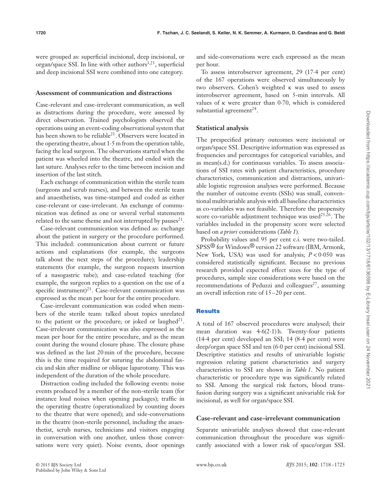were grouped as: superficial incisional, deep incisional, or organ/space SSI. In line with other authors3*,*23, superficial and deep incisional SSI were combined into one category.

# **Assessment of communication and distractions**

Case-relevant and case-irrelevant communication, as well as distractions during the procedure, were assessed by direct observation. Trained psychologists observed the operations using an event-coding observational system that has been shown to be reliable<sup>21</sup>. Observers were located in the operating theatre, about 1⋅5 m from the operation table, facing the lead surgeon. The observations started when the patient was wheeled into the theatre, and ended with the last suture. Analyses refer to the time between incision and insertion of the last stitch.

Each exchange of communication within the sterile team (surgeons and scrub nurses), and between the sterile team and anaesthetists, was time-stamped and coded as either case-relevant or case-irrelevant. An exchange of communication was defined as one or several verbal statements related to the same theme and not interrupted by pauses $^{21}$ .

Case-relevant communication was defined as: exchange about the patient in surgery or the procedure performed. This included: communication about current or future actions and explanations (for example, the surgeons talk about the next steps of the procedure); leadership statements (for example, the surgeon requests insertion of a nasogastric tube); and case-related teaching (for example, the surgeon replies to a question on the use of a specific instrument) $^{21}$ . Case-relevant communication was expressed as the mean per hour for the entire procedure.

Case-irrelevant communication was coded when members of the sterile team: talked about topics unrelated to the patient or the procedure; or joked or laughed<sup>21</sup>. Case-irrelevant communication was also expressed as the mean per hour for the entire procedure, and as the mean count during the wound closure phase. The closure phase was defined as the last 20 min of the procedure, because this is the time required for suturing the abdominal fascia and skin after midline or oblique laparotomy. This was independent of the duration of the whole procedure.

Distraction coding included the following events: noise events produced by a member of the non-sterile team (for instance loud noises when opening packages); traffic in the operating theatre (operationalized by counting doors to the theatre that were opened); and side-conversations in the theatre (non-sterile personnel, including the anaesthetist, scrub nurses, technicians and visitors engaging in conversation with one another, unless those conversations were very quiet). Noise events, door openings and side-conversations were each expressed as the mean per hour.

To assess interobserver agreement, 29 (17⋅4 per cent) of the 167 operations were observed simultaneously by two observers. Cohen's weighted κ was used to assess interobserver agreement, based on 5-min intervals. All values of κ were greater than 0⋅70, which is considered substantial agreement<sup>24</sup>.

#### **Statistical analysis**

The prespecified primary outcomes were incisional or organ/space SSI. Descriptive information was expressed as frequencies and percentages for categorical variables, and as mean(s.d.) for continuous variables. To assess associations of SSI rates with patient characteristics, procedure characteristics, communication and distractions, univariable logistic regression analyses were performed. Because the number of outcome events (SSIs) was small, conventional multivariable analysis with all baseline characteristics as co-variables was not feasible. Therefore the propensity score co-variable adjustment technique was used<sup>25,26</sup>. The variables included in the propensity score were selected based on *a priori* considerations (*Table 1*).

Probability values and 95 per cent c.i. were two-tailed. SPSS® for Windows® version 22 software (IBM, Armonk, New York, USA) was used for analysis; *P <*0⋅050 was considered statistically significant. Because no previous research provided expected effect sizes for the type of procedures, sample size considerations were based on the recommendations of Peduzzi and colleagues<sup>27</sup>, assuming an overall infection rate of 15–20 per cent.

# **Results**

A total of 167 observed procedures were analysed; their mean duration was 4⋅6(2⋅1) h. Twenty-four patients (14⋅4 per cent) developed an SSI; 14 (8⋅4 per cent) were deep/organ space SSI and ten (6⋅0 per cent) incisional SSI. Descriptive statistics and results of univariable logistic regression relating patient characteristics and surgery characteristics to SSI are shown in *Table 1*. No patient characteristic or procedure type was significantly related to SSI. Among the surgical risk factors, blood transfusion during surgery was a significant univariable risk for incisional, as well for organ/space SSI.

## **Case-relevant and case-irrelevant communication**

Separate univariable analyses showed that case-relevant communication throughout the procedure was significantly associated with a lower risk of space/organ SSI.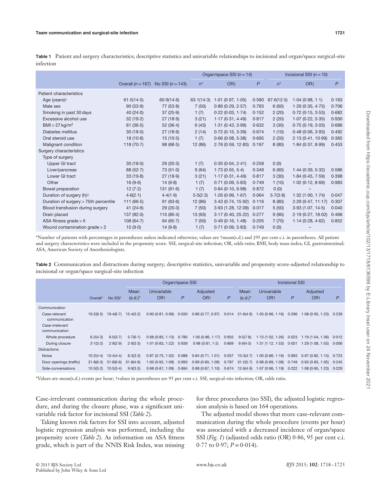**Table 1** Patient and surgery characteristics; descriptive statistics and univariable relationships to incisional and organ/space surgical-site infection

|                                       |                     |                    |            | Organ/space SSI $(n = 14)$ |       | Incisional SSI $(n = 10)$ |                     |              |  |
|---------------------------------------|---------------------|--------------------|------------|----------------------------|-------|---------------------------|---------------------|--------------|--|
|                                       | Overall $(n = 167)$ | No SSI $(n = 143)$ | $n^*$      | OR‡                        | P     | $n^*$                     | OR <sub>‡</sub>     | $\mathsf{P}$ |  |
| Patient characteristics               |                     |                    |            |                            |       |                           |                     |              |  |
| Age (years) <sup>†</sup>              | 61.5(14.5)          | 60.9(14.6)         | 63.1(14.3) | 1.01(0.97, 1.05)           | 0.580 | 67.6(12.5)                | 1.04(0.98, 1.1)     | 0.163        |  |
| Male sex                              | 90(53.9)            | 77(53.8)           | 7(50)      | 0.86(0.29, 2.57)           | 0.783 | 6(60)                     | 1.29(0.35, 4.75)    | 0.706        |  |
| Smoking in past 30 days               | 40(24.0)            | 37(25.9)           | 1(7)       | 0.22(0.03, 1.74)           | 0.152 | 2(20)                     | $0.72$ (0.15, 3.53) | 0.682        |  |
| Excessive alcohol use                 | 32(19.2)            | 27(18.9)           | 3(21)      | 1.17(0.31, 4.49)           | 0.817 | 2(20)                     | 1.07(0.22, 5.35)    | 0.930        |  |
| $BMl > 27$ kg/m <sup>2</sup>          | 61(36.5)            | 52(36.4)           | 6(43)      | 1.31(0.43, 3.99)           | 0.632 | 3(30)                     | 0.75(0.19, 3.03)    | 0.686        |  |
| Diabetes mellitus                     | 30(18.0)            | 27(18.9)           | 2(14)      | 0.72(0.15, 3.39)           | 0.674 | 1(10)                     | 0.48(0.06, 3.93)    | 0.492        |  |
| Oral steroid use                      | 18(10.8)            | 15(10.5)           | 1(7)       | 0.66(0.08, 5.38)           | 0.695 | 2(20)                     | 2.13 (0.41, 10.99)  | 0.365        |  |
| Malignant condition                   | 118(70.7)           | 98(68.5)           | 12 (86)    | 2.76(0.59, 12.83)          | 0.197 | 8(80)                     | 1.84(0.37, 8.99)    | 0.453        |  |
| Surgery characteristics               |                     |                    |            |                            |       |                           |                     |              |  |
| Type of surgery                       |                     |                    |            |                            |       |                           |                     |              |  |
| Upper GI tract                        | 30(18.0)            | 29(20.3)           | 1(7)       | 0.30(0.04, 2.41)           | 0.258 | 0(0)                      |                     |              |  |
| Liver/pancreas                        | 88(52.7)            | 73(51.0)           | 9(64)      | 1.73(0.55, 5.4)            | 0.349 | 6(60)                     | 1.44(0.39, 5.32)    | 0.586        |  |
| Lower GI tract                        | 33(19.8)            | 27(18.9)           | 3(21)      | 1.17(0.31, 4.49)           | 0.817 | 3(30)                     | 1.84(0.45, 7.59)    | 0.398        |  |
| Other                                 | 16(9.6)             | 14(9.8)            | 1(7)       | $0.71$ (0.09, 5.83)        | 0.749 | 1(10)                     | 1.02(0.12, 8.69)    | 0.983        |  |
| Bowel preparation                     | 12(7.2)             | 131(91.6)          | 1(7)       | 0.84(0.10, 6.98)           | 0.872 | 0(0)                      |                     |              |  |
| Duration of surgery (h);              | 4.6(2.1)            | 4.4(1.9)           | 5.5(2.3)   | 1.26(0.99, 1.67)           | 0.064 | 5.7(3.8)                  | 1.32(1.00, 1.74)    | 0.047        |  |
| Duration of surgery > 75th percentile | 111(66.5)           | 91(63.6)           | 12 (86)    | 3.43(0.74, 15.92)          | 0.116 | 8(80)                     | 2.29(0.47, 11.17)   | 0.307        |  |
| Blood transfusion during surgery      | 41 $(24.6)$         | 29(20.3)           | 7(50)      | 3.93(1.28, 12.09)          | 0.017 | 5(50)                     | 3.93(1.07, 14.5)    | 0.040        |  |
| Drain placed                          | 137(82.0)           | 115(80.4)          | 13 (93)    | 3.17(0.40, 25.22)          | 0.277 | 9(90)                     | 2.19 (0.27, 18.02)  | 0.466        |  |
| ASA fitness grade > II                | 108(64.7)           | 94(65.7)           | 7(50)      | 0.49(0.16, 1.48)           | 0.205 | 7(70)                     | 1.14(0.28, 4.62)    | 0.852        |  |
| Wound contamination grade $>2$        | 15(9.0)             | 14(9.8)            | 1(7)       | $0.71$ (0.09, 5.83)        | 0.749 | 0(0)                      |                     |              |  |

\*Number of patients with percentages in parentheses unless indicated otherwise; values are †mean(s.d.) and ‡95 per cent c.i. in parentheses. All patient and surgery characteristics were included in the propensity score. SSI, surgical-site infection; OR, odds ratio; BMI, body mass index; GI, gastrointestinal; ASA, American Society of Anesthesiologists.

**Table 2** Communication and distractions during surgery; descriptive statistics, univariable and propensity score-adjusted relationship to incisional or organ/space surgical-site infection

|                                  |           |           | Organ/space SSI    |                                |              |                             |       | <b>Incisional SSI</b> |                                   |       |                             |       |  |
|----------------------------------|-----------|-----------|--------------------|--------------------------------|--------------|-----------------------------|-------|-----------------------|-----------------------------------|-------|-----------------------------|-------|--|
|                                  | Overall*  | No SSI*   | Mean<br>$(s.d.)^*$ | Univariable<br>OR <sup>+</sup> | $\mathsf{P}$ | Adjusted<br>OR <sup>+</sup> | P     | Mean<br>$(s.d.)^*$    | Univariable<br>OR <sup>†</sup>    | P     | Adjusted<br>OR <sup>+</sup> | P     |  |
| Communication                    |           |           |                    |                                |              |                             |       |                       |                                   |       |                             |       |  |
| Case-relevant<br>communication   | 19.2(6.5) | 19.4(6.7) | 15.4(3.2)          | 0.90(0.81, 0.99)               | 0.030        | 0.86(0.77, 0.97)            | 0.014 | 21.6(4.9)             | 1.05(0.96, 1.16)                  | 0.296 | 1.08(0.95, 1.23)            | 0.239 |  |
| Case-irrelevant<br>communication |           |           |                    |                                |              |                             |       |                       |                                   |       |                             |       |  |
| Whole procedure                  | 6.2(4.3)  | 6.0(3.7)  | 5.7(6.1)           | 0.98(0.85, 1.13)               | 0.780        | 1.00(0.86, 1.17)            | 0.955 | 9.5(7.8)              | 1.13(1.02, 1.26)                  | 0.023 | 1.19(1.04, 1.36)            | 0.012 |  |
| During closure                   | 3.1(3.2)  | 2.9(2.9)  | 2.9(3.3)           | 1.01(0.83, 1.22)               | 0.939        | 0.98(0.81, 1.2)             | 0.869 | 6.9(4.5)              | 1.31(1.12, 1.53)                  | 0.001 | 1.29(1.08, 1.55)            | 0.006 |  |
| <b>Distractions</b>              |           |           |                    |                                |              |                             |       |                       |                                   |       |                             |       |  |
| Noise                            | 10.2(4.4) | 10.4(4.4) | 8.3(3.3)           | 0.87(0.75, 1.02)               | 0.088        | 0.84(0.71, 1.01)            | 0.057 | 10.3(4.7)             | 1.00(0.86, 1.16)                  | 0.993 | 0.97(0.82, 1.15)            | 0.723 |  |
| Door openings (traffic)          | 31.8(6.3) | 31.8(6.6) | 31.8(4.6)          | 1.00(0.92, 1.09)               | 0.990        | 0.99(0.90, 1.09)            | 0.787 | 31.2(5.7)             | $0.98(0.89, 1.09)$ $0.749$        |       | 0.93(0.83, 1.05)            | 0.245 |  |
| Side-conversations               | 10.5(5.2) | 10.5(5.4) | 9.9(3.3)           | 0.98(0.87, 1.09)               | 0.684        | 0.98(0.87, 1.10)            | 0.674 |                       | 12.6(4.9) 1.07 (0.96, 1.19) 0.222 |       | 1.08(0.95, 1.23)            | 0.229 |  |

\*Values are mean(s.d.) events per hour; †values in parentheses are 95 per cent c.i. SSI, surgical-site infection; OR, odds ratio.

Case-irrelevant communication during the whole procedure, and during the closure phase, was a significant univariable risk factor for incisional SSI (*Table 2*).

Taking known risk factors for SSI into account, adjusted logistic regression analysis was performed, including the propensity score (*Table 2*). As information on ASA fitness grade, which is part of the NNIS Risk Index, was missing

for three procedures (no SSI), the adjusted logistic regression analysis is based on 164 operations.

The adjusted model shows that more case-relevant communication during the whole procedure (events per hour) was associated with a decreased incidence of organ/space SSI (*Fig. 1*) (adjusted odds ratio (OR) 0⋅86, 95 per cent c.i.  $0.77$  to  $0.97; P = 0.014$ ).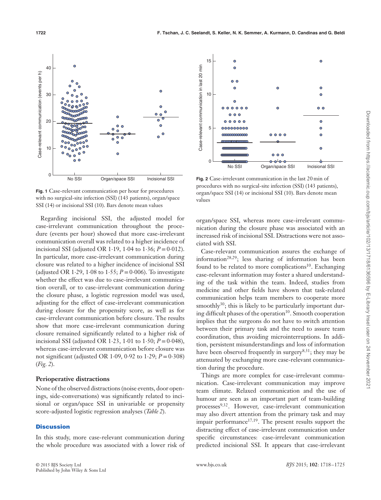

**Fig. 1** Case-relevant communication per hour for procedures with no surgical-site infection (SSI) (143 patients), organ/space SSI (14) or incisional SSI (10). Bars denote mean values

Regarding incisional SSI, the adjusted model for case-irrelevant communication throughout the procedure (events per hour) showed that more case-irrelevant communication overall was related to a higher incidence of incisional SSI (adjusted OR 1⋅19, 1⋅04 to 1⋅36; *P* =0⋅012). In particular, more case-irrelevant communication during closure was related to a higher incidence of incisional SSI (adjusted OR 1⋅29, 1⋅08 to 1⋅55; *P* =0⋅006). To investigate whether the effect was due to case-irrelevant communication overall, or to case-irrelevant communication during the closure phase, a logistic regression model was used, adjusting for the effect of case-irrelevant communication during closure for the propensity score, as well as for case-irrelevant communication before closure. The results show that more case-irrelevant communication during closure remained significantly related to a higher risk of incisional SSI (adjusted OR 1⋅23, 1⋅01 to 1⋅50;  $P = 0.048$ ), whereas case-irrelevant communication before closure was not significant (adjusted OR 1⋅09, 0⋅92 to 1⋅29; *P* =0⋅308) (*Fig. 2*).

## **Perioperative distractions**

None of the observed distractions (noise events, door openings, side-conversations) was significantly related to incisional or organ/space SSI in univariable or propensity score-adjusted logistic regression analyses (*Table 2*).

### **Discussion**

In this study, more case-relevant communication during the whole procedure was associated with a lower risk of



**Fig. 2** Case-irrelevant communication in the last 20 min of procedures with no surgical-site infection (SSI) (143 patients), organ/space SSI (14) or incisional SSI (10). Bars denote mean values

organ/space SSI, whereas more case-irrelevant communication during the closure phase was associated with an increased risk of incisional SSI. Distractions were not associated with SSI.

Case-relevant communication assures the exchange of information<sup>28,29</sup>; less sharing of information has been found to be related to more complications<sup>10</sup>. Exchanging case-relevant information may foster a shared understanding of the task within the team. Indeed, studies from medicine and other fields have shown that task-related communication helps team members to cooperate more smoothly<sup>30</sup>; this is likely to be particularly important during difficult phases of the operation<sup>10</sup>. Smooth cooperation implies that the surgeons do not have to switch attention between their primary task and the need to assure team coordination, thus avoiding microinterruptions. In addition, persistent misunderstandings and loss of information have been observed frequently in surgery<sup>8</sup>*,*31; they may be attenuated by exchanging more case-relevant communication during the procedure.

Things are more complex for case-irrelevant communication. Case-irrelevant communication may improve team climate. Relaxed communication and the use of humour are seen as an important part of team-building processes<sup>9,32</sup>. However, case-irrelevant communication may also divert attention from the primary task and may impair performance<sup>17,19</sup>. The present results support the distracting effect of case-irrelevant communication under specific circumstances: case-irrelevant communication predicted incisional SSI. It appears that case-irrelevant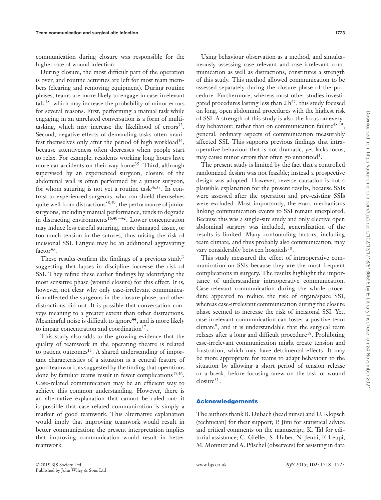communication during closure was responsible for the higher rate of wound infection.

During closure, the most difficult part of the operation is over, and routine activities are left for most team members (clearing and removing equipment). During routine phases, teams are more likely to engage in case-irrelevant  $talk<sup>18</sup>$ , which may increase the probability of minor errors for several reasons. First, performing a manual task while engaging in an unrelated conversation is a form of multitasking, which may increase the likelihood of  $\rm{errors}^{33}$ . Second, negative effects of demanding tasks often manifest themselves only after the period of high workload<sup>34</sup>, because attentiveness often decreases when people start to relax. For example, residents working long hours have more car accidents on their way home<sup>35</sup>. Third, although supervised by an experienced surgeon, closure of the abdominal wall is often performed by a junior surgeon, for whom suturing is not yet a routine task<sup>36,37</sup>. In contrast to experienced surgeons, who can shield themselves quite well from distractions<sup>38,39</sup>, the performance of junior surgeons, including manual performance, tends to degrade in distracting environments<sup>16,40–42</sup>. Lower concentration may induce less careful suturing, more damaged tissue, or too much tension in the sutures, thus raising the risk of incisional SSI. Fatigue may be an additional aggravating  $factor<sup>43</sup>$ .

These results confirm the findings of a previous study<sup>3</sup> suggesting that lapses in discipline increase the risk of SSI. They refine these earlier findings by identifying the most sensitive phase (wound closure) for this effect. It is, however, not clear why only case-irrelevant communication affected the surgeons in the closure phase, and other distractions did not. It is possible that conversation conveys meaning to a greater extent than other distractions. Meaningful noise is difficult to ignore<sup>44</sup>, and is more likely to impair concentration and coordination $17$ .

This study also adds to the growing evidence that the quality of teamwork in the operating theatre is related to patient outcomes $^{11}$ . A shared understanding of important characteristics of a situation is a central feature of good teamwork, as suggested by the finding that operations done by familiar teams result in fewer complications<sup>45,46</sup>. Case-related communication may be an efficient way to achieve this common understanding. However, there is an alternative explanation that cannot be ruled out: it is possible that case-related communication is simply a marker of good teamwork. This alternative explanation would imply that improving teamwork would result in better communication; the present interpretation implies that improving communication would result in better teamwork.

Using behaviour observation as a method, and simultaneously assessing case-relevant and case-irrelevant communication as well as distractions, constitutes a strength of this study. This method allowed communication to be assessed separately during the closure phase of the procedure. Furthermore, whereas most other studies investigated procedures lasting less than  $2 h^{47}$ , this study focused on long, open abdominal procedures with the highest risk of SSI. A strength of this study is also the focus on everyday behaviour, rather than on communication failure<sup>48,49</sup>; general, ordinary aspects of communication measurably affected SSI. This supports previous findings that intraoperative behaviour that is not dramatic, yet lacks focus, may cause minor errors that often go unnoticed<sup>3</sup>.

The present study is limited by the fact that a controlled randomized design was not feasible; instead a prospective design was adopted. However, reverse causation is not a plausible explanation for the present results, because SSIs were assessed after the operation and pre-existing SSIs were excluded. Most importantly, the exact mechanisms linking communication events to SSI remain unexplored. Because this was a single-site study and only elective open abdominal surgery was included, generalization of the results is limited. Many confounding factors, including team climate, and thus probably also communication, may vary considerably between hospitals $50$ .

This study measured the effect of intraoperative communication on SSIs because they are the most frequent complications in surgery. The results highlight the importance of understanding intraoperative communication. Case-relevant communication during the whole procedure appeared to reduce the risk of organ/space SSI, whereas case-irrelevant communication during the closure phase seemed to increase the risk of incisional SSI. Yet, case-irrelevant communication can foster a positive team climate<sup>9</sup>, and it is understandable that the surgical team relaxes after a long and difficult procedure18. Prohibiting case-irrelevant communication might create tension and frustration, which may have detrimental effects. It may be more appropriate for teams to adapt behaviour to the situation by allowing a short period of tension release or a break, before focusing anew on the task of wound  $\frac{1}{2}$ closure<sup>51</sup>.

# **Acknowledgements**

The authors thank B. Dubach (head nurse) and U. Klopsch (technician) for their support; P. Jüni for statistical advice and critical comments on the manuscript; K. Tal for editorial assistance; C. Gfeller, S. Huber, N. Jenni, F. Leupi, M. Monnier and A. Püschel (observers) for assisting in data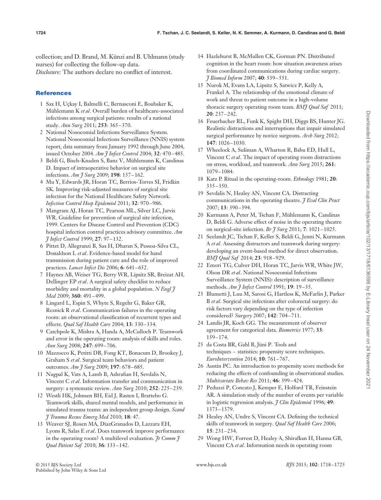collection; and D. Brand, M. Künzi and B. Uhlmann (study nurses) for collecting the follow-up data. *Disclosure:* The authors declare no conflict of interest.

# **References**

- 1 Sax H, Uçkay I, Balmelli C, Bernasconi E, Boubaker K, Mühlemann K *et al*. Overall burden of healthcare-associated infections among surgical patients: results of a national study. *Ann Surg* 2011; **253**: 365–370.
- 2 National Nosocomial Infections Surveillance System. National Nosocomial Infections Surveillance (NNIS) system report, data summary from January 1992 through June 2004, issued October 2004. *Am J Infect Control* 2004; **32**: 470–485.
- 3 Beldi G, Bisch-Knaden S, Banz V, Mühlemann K, Candinas D. Impact of intraoperative behavior on surgical site infections. *Am J Surg* 2009; **198**: 157–162.
- 4 Mu Y, Edwards JR, Horan TC, Berrios-Torres SI, Fridkin SK. Improving risk-adjusted measures of surgical site infection for the National Healthcare Safety Network. *Infection Control Hosp Epidemiol* 2011; **32**: 970–986.
- 5 Mangram AJ, Horan TC, Pearson ML, Silver LC, Jarvis WR. Guideline for prevention of surgical site infection, 1999. Centers for Disease Control and Prevention (CDC) hospital infection control practices advisory committee. *Am J Infect Control* 1999; **27**: 97–132.
- 6 Pittet D, Allegranzi B, Sax H, Dharan S, Pessoa-Silva CL, Donaldson L *et al*. Evidence-based model for hand transmission during patient care and the role of improved practices. *Lancet Infect Dis* 2006; **6**: 641–652.
- 7 Haynes AB, Weiser TG, Berry WR, Lipsitz SR, Breizat AH, Dellinger EP *et al*. A surgical safety checklist to reduce morbidity and mortality in a global population. *N Engl J Med* 2009; **360**: 491–499.
- 8 Lingard L, Espin S, Whyte S, Regehr G, Baker GR, Reznick R *et al*. Communication failures in the operating room: an observational classification of recurrent types and effects. *Qual Saf Health Care* 2004; **13**: 330–334.
- 9 Catchpole K, Mishra A, Handa A, McCulloch P. Teamwork and error in the operating room: analysis of skills and roles. *Ann Surg* 2008; **247**: 699–706.
- 10 Mazzocco K, Petitti DB, Fong KT, Bonacum D, Brookey J, Graham S *et al*. Surgical team behaviors and patient outcomes. *Am J Surg* 2009; **197**: 678–685.
- 11 Nagpal K, Vats A, Lamb B, Ashrafian H, Sevdalis N, Vincent C *et al*. Information transfer and communication in surgery: a systematic review. *Ann Surg* 2010; **252**: 225–239.
- 12 Westli HK, Johnsen BH, Eid J, Rasten I, Brattebo G. Teamwork skills, shared mental models, and performance in simulated trauma teams: an independent group design. *Scand J Trauma Resusc Emerg Med* 2010; **18**: 47.
- 13 Weaver SJ, Rosen MA, DiazGranados D, Lazzara EH, Lyons R, Salas E *et al*. Does teamwork improve performance in the operating room? A multilevel evaluation. *Jt Comm J Qual Patient Saf* 2010; **36**: 133–142.
- 14 Hazlehurst B, McMullen CK, Gorman PN. Distributed cognition in the heart room: how situation awareness arises from coordinated communications during cardiac surgery. *J Biomed Inform* 2007; **40**: 539–551.
- 15 Nurok M, Evans LA, Lipsitz S, Satwicz P, Kelly A, Frankel A. The relationship of the emotional climate of work and threat to patient outcome in a high-volume thoracic surgery operating room team. *BMJ Qual Saf* 2011; **20**: 237–242.
- 16 Feuerbacher RL, Funk K, Spight DH, Diggs BS, Hunter JG. Realistic distractions and interruptions that impair simulated surgical performance by novice surgeons. *Arch Surg* 2012; **147**: 1026–1030.
- 17 Wheelock A, Suliman A, Wharton R, Babu ED, Hull L, Vincent C *et al*. The impact of operating room distractions on stress, workload, and teamwork. *Ann Surg* 2015; **261**: 1079–1084.
- 18 Katz P. Ritual in the operating-room. *Ethnology* 1981; **20**: 335–350.
- 19 Sevdalis N, Healey AN, Vincent CA. Distracting communications in the operating theatre. *J Eval Clin Pract* 2007; **13**: 390–394.
- 20 Kurmann A, Peter M, Tschan F, Mühlemann K, Candinas D, Beldi G. Adverse effect of noise in the operating theatre on surgical-site infection. *Br J Surg* 2011; **7**: 1021–1025.
- 21 Seelandt JC, Tschan F, Keller S, Beldi G, Jenni N, Kurmann A *et al*. Assessing distractors and teamwork during surgery: developing an event-based method for direct observation. *BMJ Qual Saf* 2014; **23**: 918–929.
- 22 Emori TG, Culver DH, Horan TC, Jarvis WR, White JW, Olson DR *et al*. National Nosocomial Infections Surveillance System (NNIS): description of surveillance methods. *Am J Infect Control* 1991; **19**: 19–35.
- 23 Blumetti J, Luu M, Sarosi G, Hartless K, McFarlin J, Parker B *et al*. Surgical site infections after colorectal surgery: do risk factors vary depending on the type of infection considered? *Surgery* 2007; **142**: 704–711.
- 24 Landis JR, Koch GG. The measurement of observer agreement for categorical data. *Biometrics* 1977; **33**: 159–174.
- 25 da Costa BR, Gahl B, Jüni P. Tools and techniques – statistics: propensity score techniques. *EuroIntervention* 2014; **10**: 761–767.
- 26 Austin PC. An introduction to propensity score methods for reducing the effects of confounding in observational studies. *Multivariate Behav Res* 2011; **46**: 399–424.
- 27 Peduzzi P, Concato J, Kemper E, Holford TR, Feinstein AR. A simulation study of the number of events per variable in logistic regression analysis. *J Clin Epidemiol* 1996; **49**: 1373–1379.
- 28 Healey AN, Undre S, Vincent CA. Defining the technical skills of teamwork in surgery. *Qual Saf Health Care* 2006; **15**: 231–234.
- 29 Wong HW, Forrest D, Healey A, Shirafkan H, Hanna GB, Vincent CA *et al*. Information needs in operating room